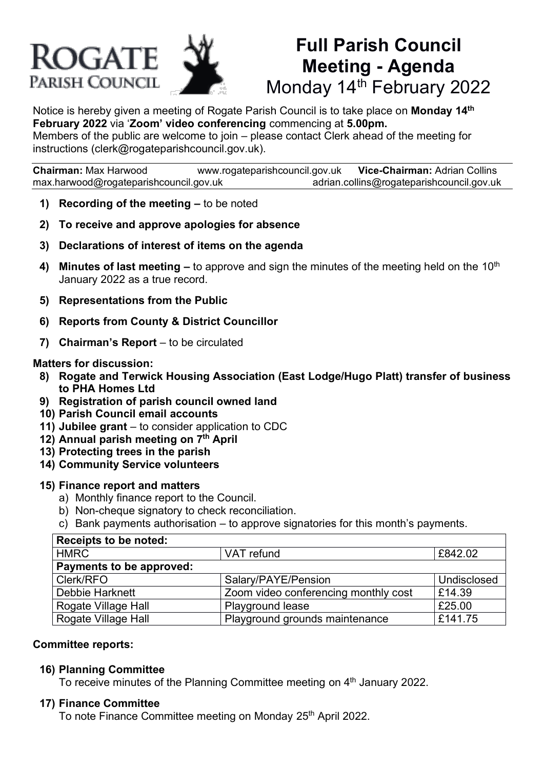# **ROGATE** PARISH COUNCIL



# **Full Parish Council Meeting - Agenda** Monday 14<sup>th</sup> February 2022

Notice is hereby given a meeting of Rogate Parish Council is to take place on **Monday 14th February 2022** via '**Zoom' video conferencing** commencing at **5.00pm.** Members of the public are welcome to join – please contact Clerk ahead of the meeting for instructions (clerk@rogateparishcouncil.gov.uk).

**Chairman:** Max Harwood [www.rogateparishcouncil.gov.uk](http://www.rogateparishcouncil.gov.uk/) **Vice-Chairman:** Adrian Collins [max.harwood@rogateparishcouncil.gov.uk](mailto:max.harwood@rogateparishcouncil.gov.uk) [adrian.collins@rogateparishcouncil.gov.uk](mailto:adrian.collins@rogateparishcouncil.gov.uk)

- **1) Recording of the meeting –** to be noted
- **2) To receive and approve apologies for absence**
- **3) Declarations of interest of items on the agenda**
- **4) Minutes of last meeting –** to approve and sign the minutes of the meeting held on the 10<sup>th</sup> January 2022 as a true record.
- **5) Representations from the Public**
- **6) Reports from County & District Councillor**
- **7) Chairman's Report** to be circulated

#### **Matters for discussion:**

- **8) Rogate and Terwick Housing Association (East Lodge/Hugo Platt) transfer of business to PHA Homes Ltd**
- **9) Registration of parish council owned land**
- **10) Parish Council email accounts**
- **11) Jubilee grant**  to consider application to CDC
- **12) Annual parish meeting on 7 th April**
- **13) Protecting trees in the parish**
- **14) Community Service volunteers**

#### **15) Finance report and matters**

- a) Monthly finance report to the Council.
- b) Non-cheque signatory to check reconciliation.
- c) Bank payments authorisation to approve signatories for this month's payments.

| Receipts to be noted:    |                                      |             |
|--------------------------|--------------------------------------|-------------|
| <b>HMRC</b>              | VAT refund                           | £842.02     |
| Payments to be approved: |                                      |             |
| Clerk/RFO                | Salary/PAYE/Pension                  | Undisclosed |
| Debbie Harknett          | Zoom video conferencing monthly cost | £14.39      |
| Rogate Village Hall      | Playground lease                     | £25.00      |
| Rogate Village Hall      | Playground grounds maintenance       | £141.75     |

#### **Committee reports:**

#### **16) Planning Committee**

To receive minutes of the Planning Committee meeting on 4<sup>th</sup> January 2022.

#### **17) Finance Committee**

To note Finance Committee meeting on Monday 25<sup>th</sup> April 2022.